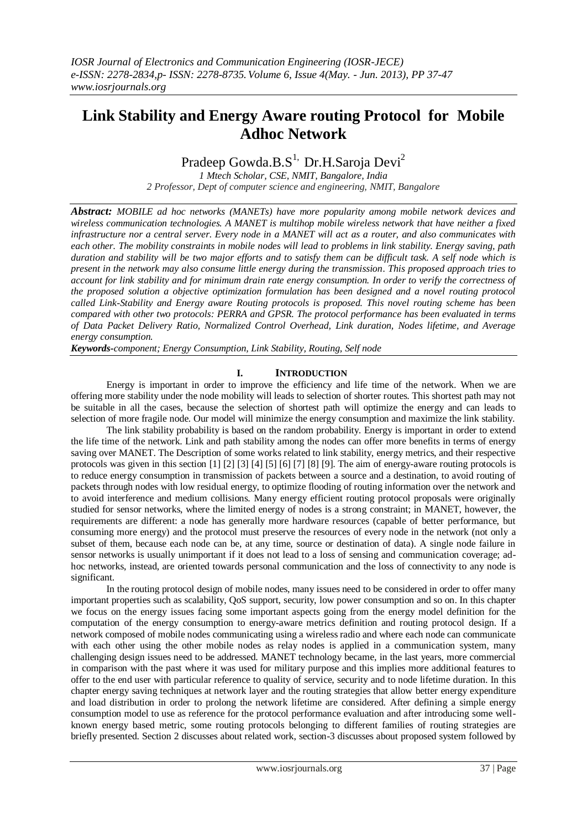# **Link Stability and Energy Aware routing Protocol for Mobile Adhoc Network**

# Pradeep Gowda.B. $S<sup>1</sup>$ , Dr.H.Saroja Devi<sup>2</sup>

*1 Mtech Scholar, CSE, NMIT, Bangalore, India 2 Professor, Dept of computer science and engineering, NMIT, Bangalore*

*Abstract: MOBILE ad hoc networks (MANETs) have more popularity among mobile network devices and wireless communication technologies. A MANET is multihop mobile wireless network that have neither a fixed infrastructure nor a central server. Every node in a MANET will act as a router, and also communicates with each other. The mobility constraints in mobile nodes will lead to problems in link stability. Energy saving, path duration and stability will be two major efforts and to satisfy them can be difficult task. A self node which is present in the network may also consume little energy during the transmission. This proposed approach tries to account for link stability and for minimum drain rate energy consumption. In order to verify the correctness of the proposed solution a objective optimization formulation has been designed and a novel routing protocol called Link-Stability and Energy aware Routing protocols is proposed. This novel routing scheme has been compared with other two protocols: PERRA and GPSR. The protocol performance has been evaluated in terms of Data Packet Delivery Ratio, Normalized Control Overhead, Link duration, Nodes lifetime, and Average energy consumption.*

*Keywords-component; Energy Consumption, Link Stability, Routing, Self node*

# **I. INTRODUCTION**

Energy is important in order to improve the efficiency and life time of the network. When we are offering more stability under the node mobility will leads to selection of shorter routes. This shortest path may not be suitable in all the cases, because the selection of shortest path will optimize the energy and can leads to selection of more fragile node. Our model will minimize the energy consumption and maximize the link stability.

The link stability probability is based on the random probability. Energy is important in order to extend the life time of the network. Link and path stability among the nodes can offer more benefits in terms of energy saving over MANET. The Description of some works related to link stability, energy metrics, and their respective protocols was given in this section [1] [2] [3] [4] [5] [6] [7] [8] [9]. The aim of energy-aware routing protocols is to reduce energy consumption in transmission of packets between a source and a destination, to avoid routing of packets through nodes with low residual energy, to optimize flooding of routing information over the network and to avoid interference and medium collisions. Many energy efficient routing protocol proposals were originally studied for sensor networks, where the limited energy of nodes is a strong constraint; in MANET, however, the requirements are different: a node has generally more hardware resources (capable of better performance, but consuming more energy) and the protocol must preserve the resources of every node in the network (not only a subset of them, because each node can be, at any time, source or destination of data). A single node failure in sensor networks is usually unimportant if it does not lead to a loss of sensing and communication coverage; adhoc networks, instead, are oriented towards personal communication and the loss of connectivity to any node is significant.

In the routing protocol design of mobile nodes, many issues need to be considered in order to offer many important properties such as scalability, QoS support, security, low power consumption and so on. In this chapter we focus on the energy issues facing some important aspects going from the energy model definition for the computation of the energy consumption to energy-aware metrics definition and routing protocol design. If a network composed of mobile nodes communicating using a wireless radio and where each node can communicate with each other using the other mobile nodes as relay nodes is applied in a communication system, many challenging design issues need to be addressed. MANET technology became, in the last years, more commercial in comparison with the past where it was used for military purpose and this implies more additional features to offer to the end user with particular reference to quality of service, security and to node lifetime duration. In this chapter energy saving techniques at network layer and the routing strategies that allow better energy expenditure and load distribution in order to prolong the network lifetime are considered. After defining a simple energy consumption model to use as reference for the protocol performance evaluation and after introducing some wellknown energy based metric, some routing protocols belonging to different families of routing strategies are briefly presented. Section 2 discusses about related work, section-3 discusses about proposed system followed by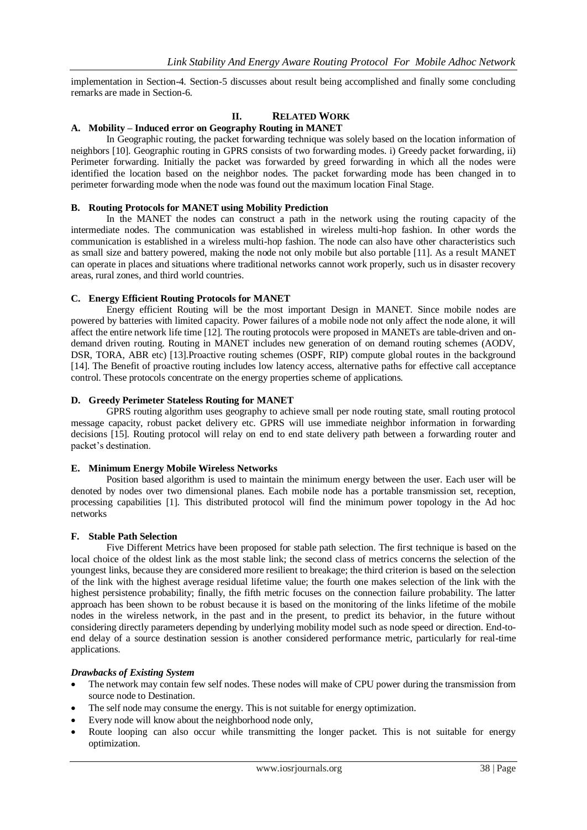implementation in Section-4. Section-5 discusses about result being accomplished and finally some concluding remarks are made in Section-6.

### **II. RELATED WORK**

#### **A. Mobility – Induced error on Geography Routing in MANET**

In Geographic routing, the packet forwarding technique was solely based on the location information of neighbors [10]. Geographic routing in GPRS consists of two forwarding modes. i) Greedy packet forwarding, ii) Perimeter forwarding. Initially the packet was forwarded by greed forwarding in which all the nodes were identified the location based on the neighbor nodes. The packet forwarding mode has been changed in to perimeter forwarding mode when the node was found out the maximum location Final Stage.

#### **B. Routing Protocols for MANET using Mobility Prediction**

In the MANET the nodes can construct a path in the network using the routing capacity of the intermediate nodes. The communication was established in wireless multi-hop fashion. In other words the communication is established in a wireless multi-hop fashion. The node can also have other characteristics such as small size and battery powered, making the node not only mobile but also portable [11]. As a result MANET can operate in places and situations where traditional networks cannot work properly, such us in disaster recovery areas, rural zones, and third world countries.

#### **C. Energy Efficient Routing Protocols for MANET**

Energy efficient Routing will be the most important Design in MANET. Since mobile nodes are powered by batteries with limited capacity. Power failures of a mobile node not only affect the node alone, it will affect the entire network life time [12]. The routing protocols were proposed in MANETs are table-driven and ondemand driven routing. Routing in MANET includes new generation of on demand routing schemes (AODV, DSR, TORA, ABR etc) [13].Proactive routing schemes (OSPF, RIP) compute global routes in the background [14]. The Benefit of proactive routing includes low latency access, alternative paths for effective call acceptance control. These protocols concentrate on the energy properties scheme of applications.

#### **D. Greedy Perimeter Stateless Routing for MANET**

GPRS routing algorithm uses geography to achieve small per node routing state, small routing protocol message capacity, robust packet delivery etc. GPRS will use immediate neighbor information in forwarding decisions [15]. Routing protocol will relay on end to end state delivery path between a forwarding router and packet's destination.

#### **E. Minimum Energy Mobile Wireless Networks**

Position based algorithm is used to maintain the minimum energy between the user. Each user will be denoted by nodes over two dimensional planes. Each mobile node has a portable transmission set, reception, processing capabilities [1]. This distributed protocol will find the minimum power topology in the Ad hoc networks

#### **F. Stable Path Selection**

Five Different Metrics have been proposed for stable path selection. The first technique is based on the local choice of the oldest link as the most stable link; the second class of metrics concerns the selection of the youngest links, because they are considered more resilient to breakage; the third criterion is based on the selection of the link with the highest average residual lifetime value; the fourth one makes selection of the link with the highest persistence probability; finally, the fifth metric focuses on the connection failure probability. The latter approach has been shown to be robust because it is based on the monitoring of the links lifetime of the mobile nodes in the wireless network, in the past and in the present, to predict its behavior, in the future without considering directly parameters depending by underlying mobility model such as node speed or direction. End-toend delay of a source destination session is another considered performance metric, particularly for real-time applications.

#### *Drawbacks of Existing System*

- The network may contain few self nodes. These nodes will make of CPU power during the transmission from source node to Destination.
- The self node may consume the energy. This is not suitable for energy optimization.
- Every node will know about the neighborhood node only,
- Route looping can also occur while transmitting the longer packet. This is not suitable for energy optimization.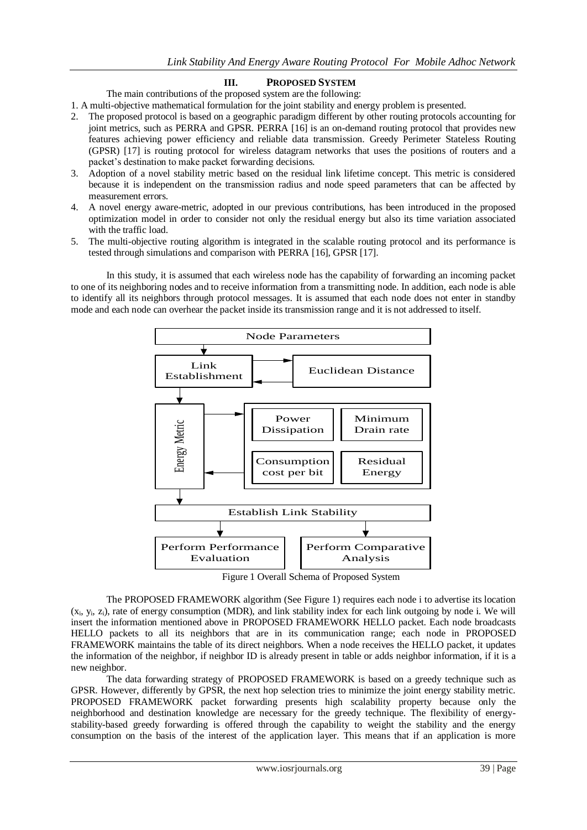# **III. PROPOSED SYSTEM**

The main contributions of the proposed system are the following:

- 1. A multi-objective mathematical formulation for the joint stability and energy problem is presented.
- 2. The proposed protocol is based on a geographic paradigm different by other routing protocols accounting for joint metrics, such as PERRA and GPSR. PERRA [16] is an on-demand routing protocol that provides new features achieving power efficiency and reliable data transmission. Greedy Perimeter Stateless Routing (GPSR) [17] is routing protocol for wireless datagram networks that uses the positions of routers and a packet's destination to make packet forwarding decisions.
- 3. Adoption of a novel stability metric based on the residual link lifetime concept. This metric is considered because it is independent on the transmission radius and node speed parameters that can be affected by measurement errors.
- 4. A novel energy aware-metric, adopted in our previous contributions, has been introduced in the proposed optimization model in order to consider not only the residual energy but also its time variation associated with the traffic load.
- 5. The multi-objective routing algorithm is integrated in the scalable routing protocol and its performance is tested through simulations and comparison with PERRA [16], GPSR [17].

In this study, it is assumed that each wireless node has the capability of forwarding an incoming packet to one of its neighboring nodes and to receive information from a transmitting node. In addition, each node is able to identify all its neighbors through protocol messages. It is assumed that each node does not enter in standby mode and each node can overhear the packet inside its transmission range and it is not addressed to itself.



Figure 1 Overall Schema of Proposed System

The PROPOSED FRAMEWORK algorithm (See Figure 1) requires each node i to advertise its location (xi , y<sup>i</sup> , zi), rate of energy consumption (MDR), and link stability index for each link outgoing by node i. We will insert the information mentioned above in PROPOSED FRAMEWORK HELLO packet. Each node broadcasts HELLO packets to all its neighbors that are in its communication range; each node in PROPOSED FRAMEWORK maintains the table of its direct neighbors. When a node receives the HELLO packet, it updates the information of the neighbor, if neighbor ID is already present in table or adds neighbor information, if it is a new neighbor.

The data forwarding strategy of PROPOSED FRAMEWORK is based on a greedy technique such as GPSR. However, differently by GPSR, the next hop selection tries to minimize the joint energy stability metric. PROPOSED FRAMEWORK packet forwarding presents high scalability property because only the neighborhood and destination knowledge are necessary for the greedy technique. The flexibility of energystability-based greedy forwarding is offered through the capability to weight the stability and the energy consumption on the basis of the interest of the application layer. This means that if an application is more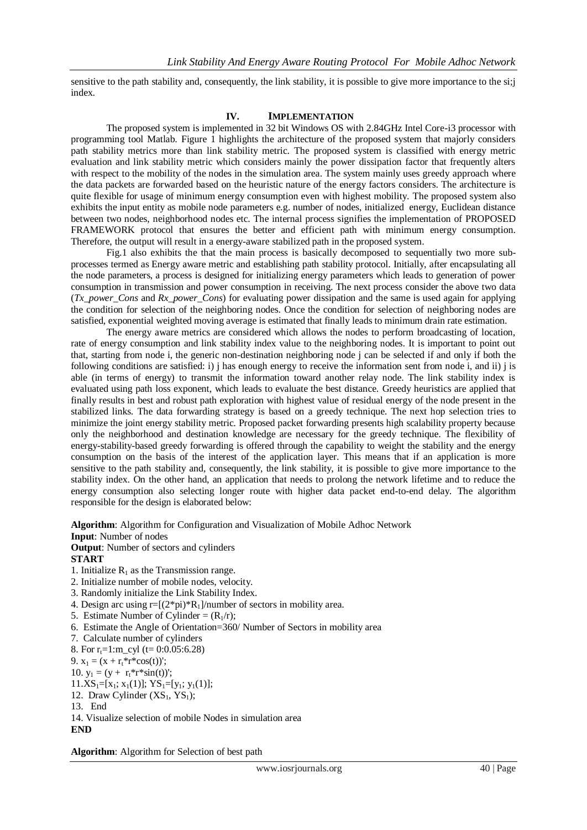sensitive to the path stability and, consequently, the link stability, it is possible to give more importance to the si;j index.

#### **IV. IMPLEMENTATION**

The proposed system is implemented in 32 bit Windows OS with 2.84GHz Intel Core-i3 processor with programming tool Matlab. Figure 1 highlights the architecture of the proposed system that majorly considers path stability metrics more than link stability metric. The proposed system is classified with energy metric evaluation and link stability metric which considers mainly the power dissipation factor that frequently alters with respect to the mobility of the nodes in the simulation area. The system mainly uses greedy approach where the data packets are forwarded based on the heuristic nature of the energy factors considers. The architecture is quite flexible for usage of minimum energy consumption even with highest mobility. The proposed system also exhibits the input entity as mobile node parameters e.g. number of nodes, initialized energy, Euclidean distance between two nodes, neighborhood nodes etc. The internal process signifies the implementation of PROPOSED FRAMEWORK protocol that ensures the better and efficient path with minimum energy consumption. Therefore, the output will result in a energy-aware stabilized path in the proposed system.

Fig.1 also exhibits the that the main process is basically decomposed to sequentially two more subprocesses termed as Energy aware metric and establishing path stability protocol. Initially, after encapsulating all the node parameters, a process is designed for initializing energy parameters which leads to generation of power consumption in transmission and power consumption in receiving. The next process consider the above two data (*Tx\_power\_Cons* and *Rx\_power\_Cons*) for evaluating power dissipation and the same is used again for applying the condition for selection of the neighboring nodes. Once the condition for selection of neighboring nodes are satisfied, exponential weighted moving average is estimated that finally leads to minimum drain rate estimation.

The energy aware metrics are considered which allows the nodes to perform broadcasting of location, rate of energy consumption and link stability index value to the neighboring nodes. It is important to point out that, starting from node i, the generic non-destination neighboring node j can be selected if and only if both the following conditions are satisfied: i) j has enough energy to receive the information sent from node i, and ii) j is able (in terms of energy) to transmit the information toward another relay node. The link stability index is evaluated using path loss exponent, which leads to evaluate the best distance. Greedy heuristics are applied that finally results in best and robust path exploration with highest value of residual energy of the node present in the stabilized links. The data forwarding strategy is based on a greedy technique. The next hop selection tries to minimize the joint energy stability metric. Proposed packet forwarding presents high scalability property because only the neighborhood and destination knowledge are necessary for the greedy technique. The flexibility of energy-stability-based greedy forwarding is offered through the capability to weight the stability and the energy consumption on the basis of the interest of the application layer. This means that if an application is more sensitive to the path stability and, consequently, the link stability, it is possible to give more importance to the stability index. On the other hand, an application that needs to prolong the network lifetime and to reduce the energy consumption also selecting longer route with higher data packet end-to-end delay. The algorithm responsible for the design is elaborated below:

**Algorithm**: Algorithm for Configuration and Visualization of Mobile Adhoc Network

# **Input**: Number of nodes

**Output**: Number of sectors and cylinders

# **START**

- 1. Initialize  $R_1$  as the Transmission range.
- 2. Initialize number of mobile nodes, velocity.
- 3. Randomly initialize the Link Stability Index.
- 4. Design arc using  $r=[(2*pi)*R_1]/number$  of sectors in mobility area.
- 5. Estimate Number of Cylinder =  $(R_1/r)$ ;
- 6. Estimate the Angle of Orientation=360/ Number of Sectors in mobility area
- 7. Calculate number of cylinders
- 8. For  $r_t=1:m$  cyl (t= 0:0.05:6.28)

9.  $x_1 = (x + r_t * r * cos(t))$ ;

- 10.  $y_1 = (y + r_t * r * sin(t))$ ;
- $11.XS_1=[x_1; x_1(1)]; YS_1=[y_1; y_1(1)];$
- 12. Draw Cylinder  $(XS_1, YS_1)$ ;
- 13. End

14. Visualize selection of mobile Nodes in simulation area **END**

**Algorithm**: Algorithm for Selection of best path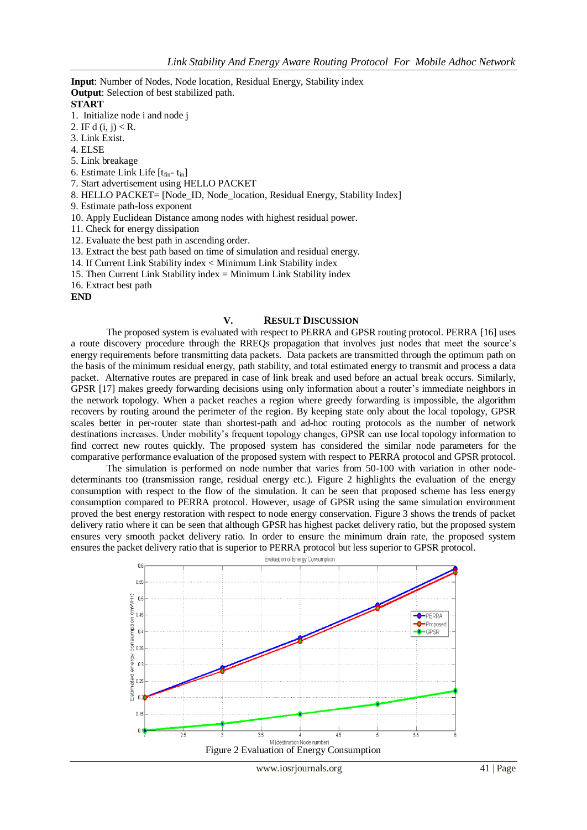**Input**: Number of Nodes, Node location, Residual Energy, Stability index **Output**: Selection of best stabilized path.

#### **START**

1. Initialize node i and node j

- 2. IF d  $(i, j) < R$ .
- 3. Link Exist.
- 4. ELSE
- 5. Link breakage
- 6. Estimate Link Life  $[t<sub>fin</sub> t<sub>in</sub>]$
- 7. Start advertisement using HELLO PACKET
- 8. HELLO PACKET= [Node\_ID, Node\_location, Residual Energy, Stability Index]
- 9. Estimate path-loss exponent
- 10. Apply Euclidean Distance among nodes with highest residual power.
- 11. Check for energy dissipation
- 12. Evaluate the best path in ascending order.
- 13. Extract the best path based on time of simulation and residual energy.
- 14. If Current Link Stability index < Minimum Link Stability index
- 15. Then Current Link Stability index = Minimum Link Stability index
- 16. Extract best path

**END**

#### **V. RESULT DISCUSSION**

The proposed system is evaluated with respect to PERRA and GPSR routing protocol. PERRA [16] uses a route discovery procedure through the RREQs propagation that involves just nodes that meet the source's energy requirements before transmitting data packets. Data packets are transmitted through the optimum path on the basis of the minimum residual energy, path stability, and total estimated energy to transmit and process a data packet. Alternative routes are prepared in case of link break and used before an actual break occurs. Similarly, GPSR [17] makes greedy forwarding decisions using only information about a router's immediate neighbors in the network topology. When a packet reaches a region where greedy forwarding is impossible, the algorithm recovers by routing around the perimeter of the region. By keeping state only about the local topology, GPSR scales better in per-router state than shortest-path and ad-hoc routing protocols as the number of network destinations increases. Under mobility's frequent topology changes, GPSR can use local topology information to find correct new routes quickly. The proposed system has considered the similar node parameters for the comparative performance evaluation of the proposed system with respect to PERRA protocol and GPSR protocol.

The simulation is performed on node number that varies from 50-100 with variation in other nodedeterminants too (transmission range, residual energy etc.). Figure 2 highlights the evaluation of the energy consumption with respect to the flow of the simulation. It can be seen that proposed scheme has less energy consumption compared to PERRA protocol. However, usage of GPSR using the same simulation environment proved the best energy restoration with respect to node energy conservation. Figure 3 shows the trends of packet delivery ratio where it can be seen that although GPSR has highest packet delivery ratio, but the proposed system ensures very smooth packet delivery ratio. In order to ensure the minimum drain rate, the proposed system ensures the packet delivery ratio that is superior to PERRA protocol but less superior to GPSR protocol.

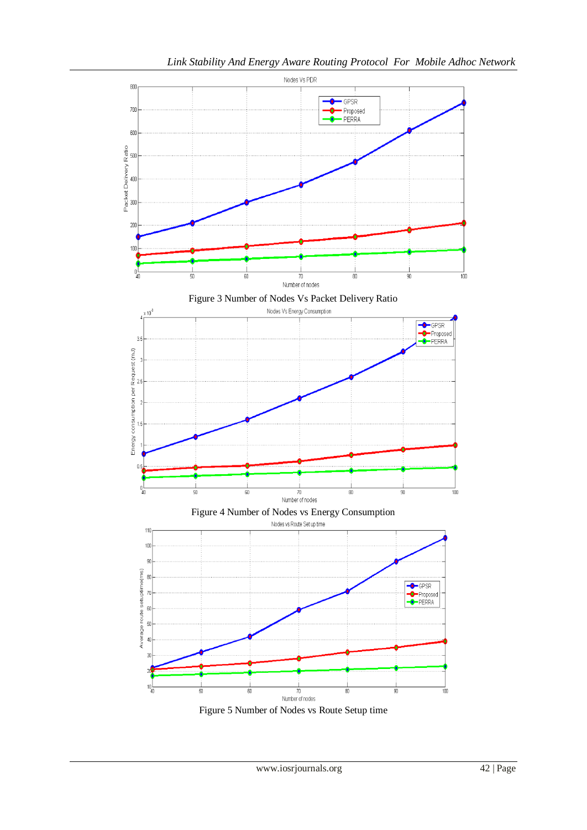

Figure 5 Number of Nodes vs Route Setup time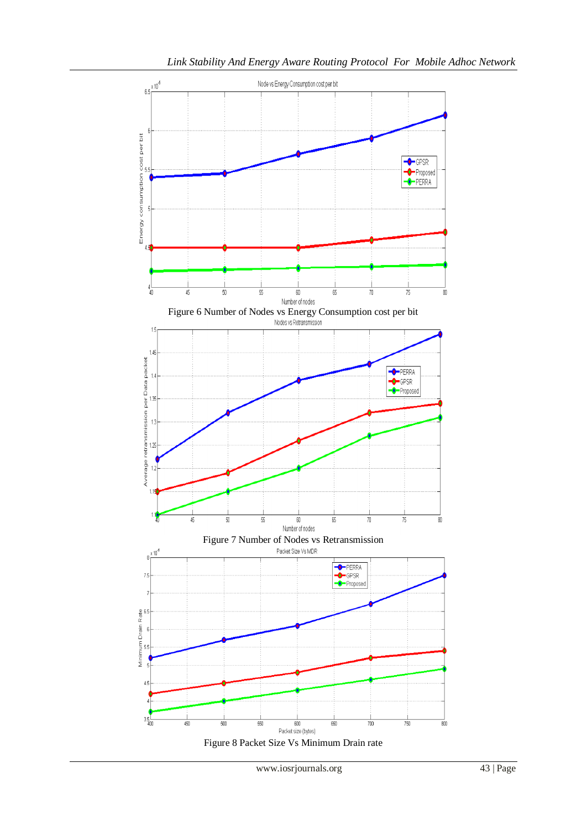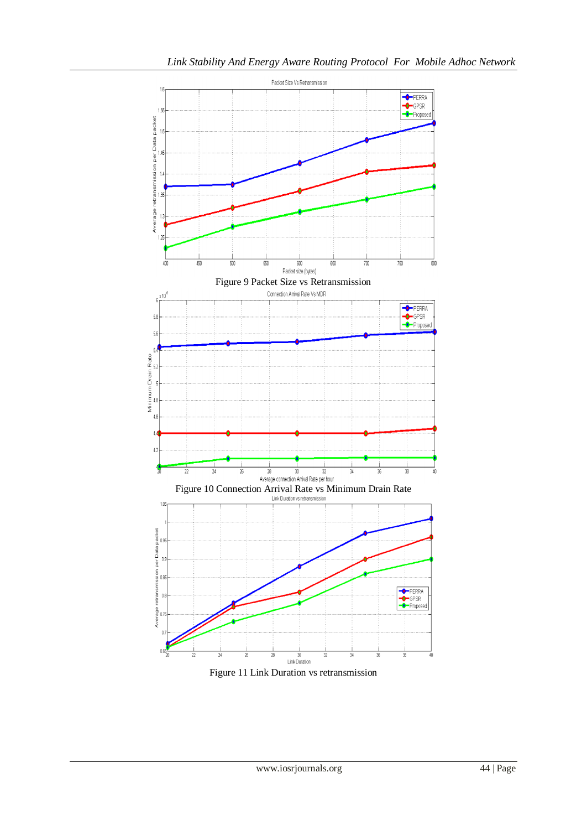

Figure 11 Link Duration vs retransmission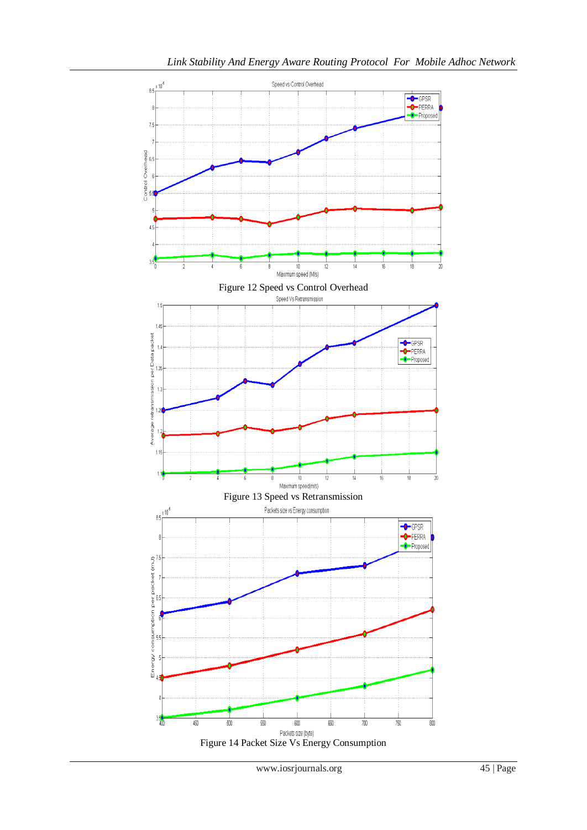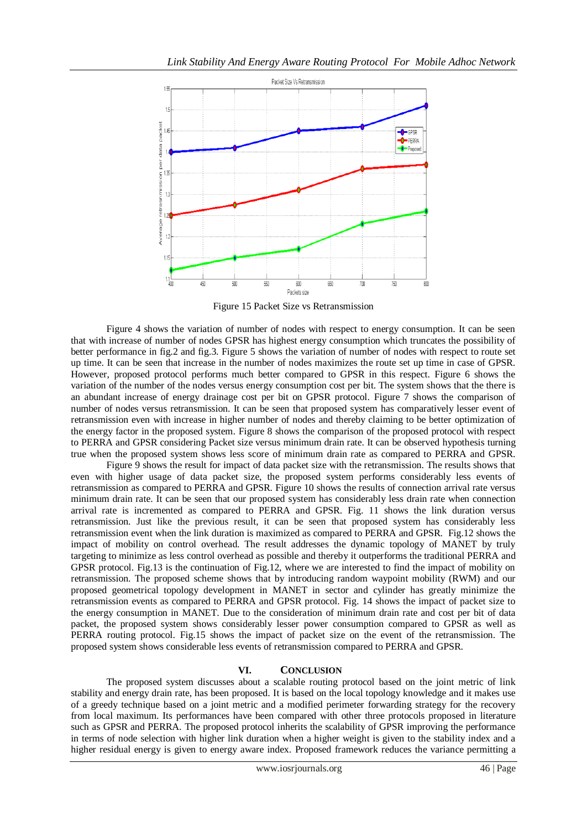

Figure 15 Packet Size vs Retransmission

Figure 4 shows the variation of number of nodes with respect to energy consumption. It can be seen that with increase of number of nodes GPSR has highest energy consumption which truncates the possibility of better performance in fig.2 and fig.3. Figure 5 shows the variation of number of nodes with respect to route set up time. It can be seen that increase in the number of nodes maximizes the route set up time in case of GPSR. However, proposed protocol performs much better compared to GPSR in this respect. Figure 6 shows the variation of the number of the nodes versus energy consumption cost per bit. The system shows that the there is an abundant increase of energy drainage cost per bit on GPSR protocol. Figure 7 shows the comparison of number of nodes versus retransmission. It can be seen that proposed system has comparatively lesser event of retransmission even with increase in higher number of nodes and thereby claiming to be better optimization of the energy factor in the proposed system. Figure 8 shows the comparison of the proposed protocol with respect to PERRA and GPSR considering Packet size versus minimum drain rate. It can be observed hypothesis turning true when the proposed system shows less score of minimum drain rate as compared to PERRA and GPSR.

Figure 9 shows the result for impact of data packet size with the retransmission. The results shows that even with higher usage of data packet size, the proposed system performs considerably less events of retransmission as compared to PERRA and GPSR. Figure 10 shows the results of connection arrival rate versus minimum drain rate. It can be seen that our proposed system has considerably less drain rate when connection arrival rate is incremented as compared to PERRA and GPSR. Fig. 11 shows the link duration versus retransmission. Just like the previous result, it can be seen that proposed system has considerably less retransmission event when the link duration is maximized as compared to PERRA and GPSR. Fig.12 shows the impact of mobility on control overhead. The result addresses the dynamic topology of MANET by truly targeting to minimize as less control overhead as possible and thereby it outperforms the traditional PERRA and GPSR protocol. Fig.13 is the continuation of Fig.12, where we are interested to find the impact of mobility on retransmission. The proposed scheme shows that by introducing random waypoint mobility (RWM) and our proposed geometrical topology development in MANET in sector and cylinder has greatly minimize the retransmission events as compared to PERRA and GPSR protocol. Fig. 14 shows the impact of packet size to the energy consumption in MANET. Due to the consideration of minimum drain rate and cost per bit of data packet, the proposed system shows considerably lesser power consumption compared to GPSR as well as PERRA routing protocol. Fig.15 shows the impact of packet size on the event of the retransmission. The proposed system shows considerable less events of retransmission compared to PERRA and GPSR.

# **VI. CONCLUSION**

The proposed system discusses about a scalable routing protocol based on the joint metric of link stability and energy drain rate, has been proposed. It is based on the local topology knowledge and it makes use of a greedy technique based on a joint metric and a modified perimeter forwarding strategy for the recovery from local maximum. Its performances have been compared with other three protocols proposed in literature such as GPSR and PERRA. The proposed protocol inherits the scalability of GPSR improving the performance in terms of node selection with higher link duration when a higher weight is given to the stability index and a higher residual energy is given to energy aware index. Proposed framework reduces the variance permitting a